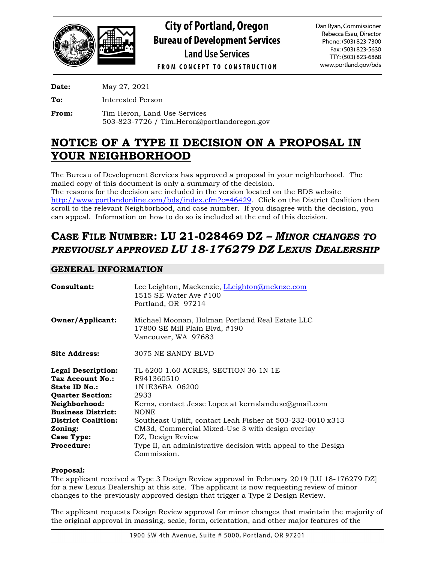

**City of Portland, Oregon Bureau of Development Services Land Use Services** 

Dan Ryan, Commissioner Rebecca Esau, Director Phone: (503) 823-7300 Fax: (503) 823-5630 TTY: (503) 823-6868 www.portland.gov/bds

**FROM CONCEPT TO CONSTRUCTION** 

**Date:** May 27, 2021

**To:** Interested Person

From: Tim Heron, Land Use Services 503-823-7726 / Tim.Heron@portlandoregon.gov

# **NOTICE OF A TYPE II DECISION ON A PROPOSAL IN YOUR NEIGHBORHOOD**

The Bureau of Development Services has approved a proposal in your neighborhood. The mailed copy of this document is only a summary of the decision.

The reasons for the decision are included in the version located on the BDS website [http://www.portlandonline.com/bds/index.cfm?c=46429.](http://www.portlandonline.com/bds/index.cfm?c=46429) Click on the District Coalition then scroll to the relevant Neighborhood, and case number. If you disagree with the decision, you can appeal. Information on how to do so is included at the end of this decision.

# **CASE FILE NUMBER: LU 21-028469 DZ** *– MINOR CHANGES TO PREVIOUSLY APPROVED LU 18-176279 DZ LEXUS DEALERSHIP*

# **GENERAL INFORMATION**

| Consultant:                                                                                                                                                                                    | Lee Leighton, Mackenzie, LLeighton@mcknze.com<br>1515 SE Water Ave #100<br>Portland, OR 97214                                                                                                                                                                                              |
|------------------------------------------------------------------------------------------------------------------------------------------------------------------------------------------------|--------------------------------------------------------------------------------------------------------------------------------------------------------------------------------------------------------------------------------------------------------------------------------------------|
| <b>Owner/Applicant:</b>                                                                                                                                                                        | Michael Moonan, Holman Portland Real Estate LLC<br>17800 SE Mill Plain Blvd, #190<br>Vancouver, WA 97683                                                                                                                                                                                   |
| <b>Site Address:</b>                                                                                                                                                                           | 3075 NE SANDY BLVD                                                                                                                                                                                                                                                                         |
| <b>Legal Description:</b><br>Tax Account No.:<br>State ID No.:<br><b>Quarter Section:</b><br>Neighborhood:<br><b>Business District:</b><br><b>District Coalition:</b><br>Zoning:<br>Case Type: | TL 6200 1.60 ACRES, SECTION 36 1N 1E<br>R941360510<br>1N1E36BA 06200<br>2933<br>Kerns, contact Jesse Lopez at kernslanduse@gmail.com<br><b>NONE</b><br>Southeast Uplift, contact Leah Fisher at 503-232-0010 x313<br>CM3d, Commercial Mixed-Use 3 with design overlay<br>DZ, Design Review |
| Procedure:                                                                                                                                                                                     | Type II, an administrative decision with appeal to the Design<br>Commission.                                                                                                                                                                                                               |

## **Proposal:**

The applicant received a Type 3 Design Review approval in February 2019 [LU 18-176279 DZ] for a new Lexus Dealership at this site. The applicant is now requesting review of minor changes to the previously approved design that trigger a Type 2 Design Review.

The applicant requests Design Review approval for minor changes that maintain the majority of the original approval in massing, scale, form, orientation, and other major features of the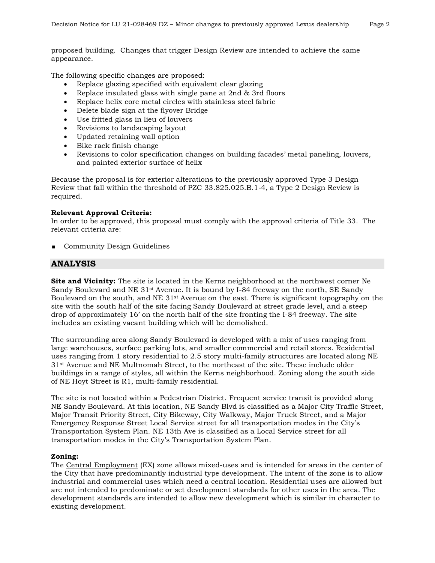proposed building. Changes that trigger Design Review are intended to achieve the same appearance.

The following specific changes are proposed:

- Replace glazing specified with equivalent clear glazing
- Replace insulated glass with single pane at 2nd & 3rd floors
- Replace helix core metal circles with stainless steel fabric
- Delete blade sign at the flyover Bridge
- Use fritted glass in lieu of louvers
- Revisions to landscaping layout
- Updated retaining wall option
- Bike rack finish change
- Revisions to color specification changes on building facades' metal paneling, louvers, and painted exterior surface of helix

Because the proposal is for exterior alterations to the previously approved Type 3 Design Review that fall within the threshold of PZC 33.825.025.B.1-4, a Type 2 Design Review is required.

#### **Relevant Approval Criteria:**

In order to be approved, this proposal must comply with the approval criteria of Title 33. The relevant criteria are:

**Community Design Guidelines** 

## **ANALYSIS**

**Site and Vicinity:** The site is located in the Kerns neighborhood at the northwest corner Ne Sandy Boulevard and NE  $31<sup>st</sup>$  Avenue. It is bound by I-84 freeway on the north, SE Sandy Boulevard on the south, and NE 31st Avenue on the east. There is significant topography on the site with the south half of the site facing Sandy Boulevard at street grade level, and a steep drop of approximately 16' on the north half of the site fronting the I-84 freeway. The site includes an existing vacant building which will be demolished.

The surrounding area along Sandy Boulevard is developed with a mix of uses ranging from large warehouses, surface parking lots, and smaller commercial and retail stores. Residential uses ranging from 1 story residential to 2.5 story multi-family structures are located along NE 31st Avenue and NE Multnomah Street, to the northeast of the site. These include older buildings in a range of styles, all within the Kerns neighborhood. Zoning along the south side of NE Hoyt Street is R1, multi-family residential.

The site is not located within a Pedestrian District. Frequent service transit is provided along NE Sandy Boulevard. At this location, NE Sandy Blvd is classified as a Major City Traffic Street, Major Transit Priority Street, City Bikeway, City Walkway, Major Truck Street, and a Major Emergency Response Street Local Service street for all transportation modes in the City's Transportation System Plan. NE 13th Ave is classified as a Local Service street for all transportation modes in the City's Transportation System Plan.

### **Zoning:**

The Central Employment (EX) zone allows mixed-uses and is intended for areas in the center of the City that have predominantly industrial type development. The intent of the zone is to allow industrial and commercial uses which need a central location. Residential uses are allowed but are not intended to predominate or set development standards for other uses in the area. The development standards are intended to allow new development which is similar in character to existing development.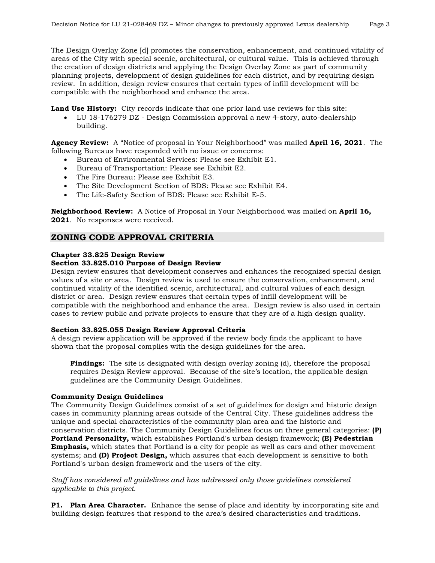The Design Overlay Zone [d] promotes the conservation, enhancement, and continued vitality of areas of the City with special scenic, architectural, or cultural value. This is achieved through the creation of design districts and applying the Design Overlay Zone as part of community planning projects, development of design guidelines for each district, and by requiring design review. In addition, design review ensures that certain types of infill development will be compatible with the neighborhood and enhance the area.

**Land Use History:** City records indicate that one prior land use reviews for this site:

• LU 18-176279 DZ - Design Commission approval a new 4-story, auto-dealership building.

**Agency Review:** A "Notice of proposal in Your Neighborhood" was mailed **April 16, 2021**. The following Bureaus have responded with no issue or concerns:

- Bureau of Environmental Services: Please see Exhibit E1.
- Bureau of Transportation: Please see Exhibit E2.
- The Fire Bureau: Please see Exhibit E3.
- The Site Development Section of BDS: Please see Exhibit E4.
- The Life-Safety Section of BDS: Please see Exhibit E-5.

**Neighborhood Review:** A Notice of Proposal in Your Neighborhood was mailed on **April 16, 2021**. No responses were received.

## **ZONING CODE APPROVAL CRITERIA**

## **Chapter 33.825 Design Review**

#### **Section 33.825.010 Purpose of Design Review**

Design review ensures that development conserves and enhances the recognized special design values of a site or area. Design review is used to ensure the conservation, enhancement, and continued vitality of the identified scenic, architectural, and cultural values of each design district or area. Design review ensures that certain types of infill development will be compatible with the neighborhood and enhance the area. Design review is also used in certain cases to review public and private projects to ensure that they are of a high design quality.

#### **Section 33.825.055 Design Review Approval Criteria**

A design review application will be approved if the review body finds the applicant to have shown that the proposal complies with the design guidelines for the area.

**Findings:** The site is designated with design overlay zoning (d), therefore the proposal requires Design Review approval. Because of the site's location, the applicable design guidelines are the Community Design Guidelines.

#### **Community Design Guidelines**

The Community Design Guidelines consist of a set of guidelines for design and historic design cases in community planning areas outside of the Central City. These guidelines address the unique and special characteristics of the community plan area and the historic and conservation districts. The Community Design Guidelines focus on three general categories: **(P) Portland Personality,** which establishes Portland's urban design framework; **(E) Pedestrian Emphasis,** which states that Portland is a city for people as well as cars and other movement systems; and **(D) Project Design,** which assures that each development is sensitive to both Portland's urban design framework and the users of the city.

*Staff has considered all guidelines and has addressed only those guidelines considered applicable to this project.*

**P1. Plan Area Character.** Enhance the sense of place and identity by incorporating site and building design features that respond to the area's desired characteristics and traditions.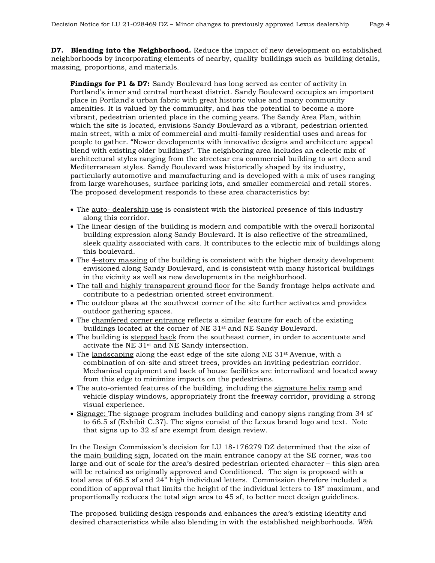**D7. Blending into the Neighborhood.** Reduce the impact of new development on established neighborhoods by incorporating elements of nearby, quality buildings such as building details, massing, proportions, and materials.

**Findings for P1 & D7:** Sandy Boulevard has long served as center of activity in Portland's inner and central northeast district. Sandy Boulevard occupies an important place in Portland's urban fabric with great historic value and many community amenities. It is valued by the community, and has the potential to become a more vibrant, pedestrian oriented place in the coming years. The Sandy Area Plan, within which the site is located, envisions Sandy Boulevard as a vibrant, pedestrian oriented main street, with a mix of commercial and multi-family residential uses and areas for people to gather. "Newer developments with innovative designs and architecture appeal blend with existing older buildings". The neighboring area includes an eclectic mix of architectural styles ranging from the streetcar era commercial building to art deco and Mediterranean styles. Sandy Boulevard was historically shaped by its industry, particularly automotive and manufacturing and is developed with a mix of uses ranging from large warehouses, surface parking lots, and smaller commercial and retail stores. The proposed development responds to these area characteristics by:

- The <u>auto- dealership use</u> is consistent with the historical presence of this industry along this corridor.
- The linear design of the building is modern and compatible with the overall horizontal building expression along Sandy Boulevard. It is also reflective of the streamlined, sleek quality associated with cars. It contributes to the eclectic mix of buildings along this boulevard.
- The 4-story massing of the building is consistent with the higher density development envisioned along Sandy Boulevard, and is consistent with many historical buildings in the vicinity as well as new developments in the neighborhood.
- The tall and highly transparent ground floor for the Sandy frontage helps activate and contribute to a pedestrian oriented street environment.
- The outdoor plaza at the southwest corner of the site further activates and provides outdoor gathering spaces.
- The chamfered corner entrance reflects a similar feature for each of the existing buildings located at the corner of NE 31st and NE Sandy Boulevard.
- The building is stepped back from the southeast corner, in order to accentuate and activate the NE 31st and NE Sandy intersection.
- The landscaping along the east edge of the site along NE  $31^{st}$  Avenue, with a combination of on-site and street trees, provides an inviting pedestrian corridor. Mechanical equipment and back of house facilities are internalized and located away from this edge to minimize impacts on the pedestrians.
- The auto-oriented features of the building, including the signature helix ramp and vehicle display windows, appropriately front the freeway corridor, providing a strong visual experience.
- Signage: The signage program includes building and canopy signs ranging from 34 sf to 66.5 sf (Exhibit C.37). The signs consist of the Lexus brand logo and text. Note that signs up to 32 sf are exempt from design review.

In the Design Commission's decision for LU 18-176279 DZ determined that the size of the main building sign, located on the main entrance canopy at the SE corner, was too large and out of scale for the area's desired pedestrian oriented character – this sign area will be retained as originally approved and Conditioned. The sign is proposed with a total area of 66.5 sf and 24" high individual letters. Commission therefore included a condition of approval that limits the height of the individual letters to 18" maximum, and proportionally reduces the total sign area to 45 sf, to better meet design guidelines.

The proposed building design responds and enhances the area's existing identity and desired characteristics while also blending in with the established neighborhoods. *With*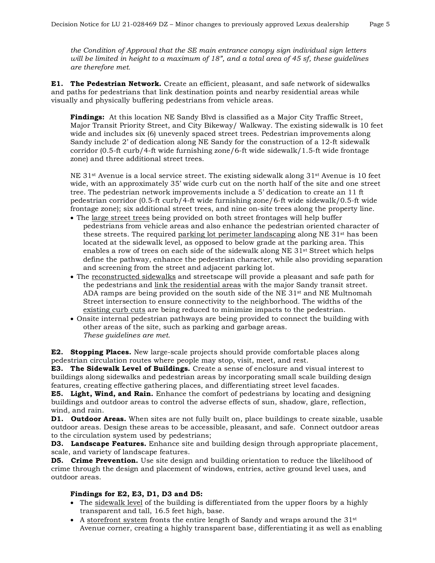*the Condition of Approval that the SE main entrance canopy sign individual sign letters will be limited in height to a maximum of 18", and a total area of 45 sf, these guidelines are therefore met.*

**E1. The Pedestrian Network.** Create an efficient, pleasant, and safe network of sidewalks and paths for pedestrians that link destination points and nearby residential areas while visually and physically buffering pedestrians from vehicle areas.

**Findings:** At this location NE Sandy Blvd is classified as a Major City Traffic Street, Major Transit Priority Street, and City Bikeway/ Walkway. The existing sidewalk is 10 feet wide and includes six (6) unevenly spaced street trees. Pedestrian improvements along Sandy include 2' of dedication along NE Sandy for the construction of a 12-ft sidewalk corridor (0.5-ft curb/4-ft wide furnishing zone/6-ft wide sidewalk/1.5-ft wide frontage zone) and three additional street trees.

NE  $31<sup>st</sup>$  Avenue is a local service street. The existing sidewalk along  $31<sup>st</sup>$  Avenue is 10 feet wide, with an approximately 35' wide curb cut on the north half of the site and one street tree. The pedestrian network improvements include a 5' dedication to create an 11 ft pedestrian corridor (0.5-ft curb/4-ft wide furnishing zone/6-ft wide sidewalk/0.5-ft wide frontage zone); six additional street trees, and nine on-site trees along the property line.

- The large street trees being provided on both street frontages will help buffer pedestrians from vehicle areas and also enhance the pedestrian oriented character of these streets. The required parking lot perimeter landscaping along NE 31st has been located at the sidewalk level, as opposed to below grade at the parking area. This enables a row of trees on each side of the sidewalk along NE 31st Street which helps define the pathway, enhance the pedestrian character, while also providing separation and screening from the street and adjacent parking lot.
- The reconstructed sidewalks and streetscape will provide a pleasant and safe path for the pedestrians and link the residential areas with the major Sandy transit street. ADA ramps are being provided on the south side of the NE  $31<sup>st</sup>$  and NE Multnomah Street intersection to ensure connectivity to the neighborhood. The widths of the existing curb cuts are being reduced to minimize impacts to the pedestrian.
- Onsite internal pedestrian pathways are being provided to connect the building with other areas of the site, such as parking and garbage areas. *These guidelines are met.*

**E2. Stopping Places.** New large-scale projects should provide comfortable places along pedestrian circulation routes where people may stop, visit, meet, and rest.

**E3. The Sidewalk Level of Buildings.** Create a sense of enclosure and visual interest to buildings along sidewalks and pedestrian areas by incorporating small scale building design features, creating effective gathering places, and differentiating street level facades.

**E5. Light, Wind, and Rain.** Enhance the comfort of pedestrians by locating and designing buildings and outdoor areas to control the adverse effects of sun, shadow, glare, reflection, wind, and rain.

**D1. Outdoor Areas.** When sites are not fully built on, place buildings to create sizable, usable outdoor areas. Design these areas to be accessible, pleasant, and safe. Connect outdoor areas to the circulation system used by pedestrians;

**D3. Landscape Features.** Enhance site and building design through appropriate placement, scale, and variety of landscape features.

**D5. Crime Prevention.** Use site design and building orientation to reduce the likelihood of crime through the design and placement of windows, entries, active ground level uses, and outdoor areas.

#### **Findings for E2, E3, D1, D3 and D5:**

- The sidewalk level of the building is differentiated from the upper floors by a highly transparent and tall, 16.5 feet high, base.
- A storefront system fronts the entire length of Sandy and wraps around the 31<sup>st</sup> Avenue corner, creating a highly transparent base, differentiating it as well as enabling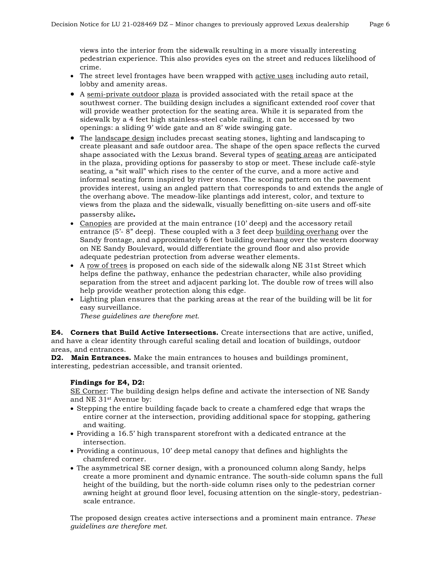views into the interior from the sidewalk resulting in a more visually interesting pedestrian experience. This also provides eyes on the street and reduces likelihood of crime.

- The street level frontages have been wrapped with **active uses** including auto retail, lobby and amenity areas.
- A semi-private outdoor plaza is provided associated with the retail space at the southwest corner. The building design includes a significant extended roof cover that will provide weather protection for the seating area. While it is separated from the sidewalk by a 4 feet high stainless-steel cable railing, it can be accessed by two openings: a sliding 9' wide gate and an 8' wide swinging gate.
- The landscape design includes precast seating stones, lighting and landscaping to create pleasant and safe outdoor area. The shape of the open space reflects the curved shape associated with the Lexus brand. Several types of seating areas are anticipated in the plaza, providing options for passersby to stop or meet. These include café-style seating, a "sit wall" which rises to the center of the curve, and a more active and informal seating form inspired by river stones. The scoring pattern on the pavement provides interest, using an angled pattern that corresponds to and extends the angle of the overhang above. The meadow-like plantings add interest, color, and texture to views from the plaza and the sidewalk, visually benefitting on-site users and off-site passersby alike**.**
- Canopies are provided at the main entrance (10' deep) and the accessory retail entrance  $(5^2 \cdot 8^2)$  deep). These coupled with a 3 feet deep building overhang over the Sandy frontage, and approximately 6 feet building overhang over the western doorway on NE Sandy Boulevard, would differentiate the ground floor and also provide adequate pedestrian protection from adverse weather elements.
- A row of trees is proposed on each side of the sidewalk along NE 31st Street which helps define the pathway, enhance the pedestrian character, while also providing separation from the street and adjacent parking lot. The double row of trees will also help provide weather protection along this edge.
- Lighting plan ensures that the parking areas at the rear of the building will be lit for easy surveillance.

*These guidelines are therefore met.*

**E4. Corners that Build Active Intersections.** Create intersections that are active, unified, and have a clear identity through careful scaling detail and location of buildings, outdoor areas, and entrances.

**D2. Main Entrances.** Make the main entrances to houses and buildings prominent, interesting, pedestrian accessible, and transit oriented.

#### **Findings for E4, D2:**

SE Corner: The building design helps define and activate the intersection of NE Sandy and NE 31st Avenue by:

- Stepping the entire building façade back to create a chamfered edge that wraps the entire corner at the intersection, providing additional space for stopping, gathering and waiting.
- Providing a 16.5' high transparent storefront with a dedicated entrance at the intersection.
- Providing a continuous, 10' deep metal canopy that defines and highlights the chamfered corner.
- The asymmetrical SE corner design, with a pronounced column along Sandy, helps create a more prominent and dynamic entrance. The south-side column spans the full height of the building, but the north-side column rises only to the pedestrian corner awning height at ground floor level, focusing attention on the single-story, pedestrianscale entrance.

The proposed design creates active intersections and a prominent main entrance. *These guidelines are therefore met.*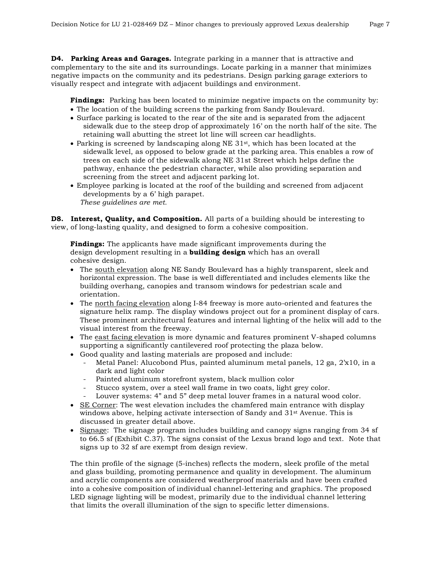**D4. Parking Areas and Garages.** Integrate parking in a manner that is attractive and complementary to the site and its surroundings. Locate parking in a manner that minimizes negative impacts on the community and its pedestrians. Design parking garage exteriors to visually respect and integrate with adjacent buildings and environment.

**Findings:** Parking has been located to minimize negative impacts on the community by:

- The location of the building screens the parking from Sandy Boulevard.
- Surface parking is located to the rear of the site and is separated from the adjacent sidewalk due to the steep drop of approximately 16' on the north half of the site. The retaining wall abutting the street lot line will screen car headlights.
- Parking is screened by landscaping along NE 31st, which has been located at the sidewalk level, as opposed to below grade at the parking area. This enables a row of trees on each side of the sidewalk along NE 31st Street which helps define the pathway, enhance the pedestrian character, while also providing separation and screening from the street and adjacent parking lot.
- Employee parking is located at the roof of the building and screened from adjacent developments by a 6' high parapet. *These guidelines are met.*

**D8. Interest, Quality, and Composition.** All parts of a building should be interesting to view, of long-lasting quality, and designed to form a cohesive composition.

**Findings:** The applicants have made significant improvements during the design development resulting in a **building design** which has an overall cohesive design.

- The south elevation along NE Sandy Boulevard has a highly transparent, sleek and horizontal expression. The base is well differentiated and includes elements like the building overhang, canopies and transom windows for pedestrian scale and orientation.
- The north facing elevation along I-84 freeway is more auto-oriented and features the signature helix ramp. The display windows project out for a prominent display of cars. These prominent architectural features and internal lighting of the helix will add to the visual interest from the freeway.
- The east facing elevation is more dynamic and features prominent V-shaped columns supporting a significantly cantilevered roof protecting the plaza below.
- Good quality and lasting materials are proposed and include:
	- Metal Panel: Alucobond Plus, painted aluminum metal panels, 12 ga, 2'x10, in a dark and light color
	- Painted aluminum storefront system, black mullion color
	- Stucco system, over a steel wall frame in two coats, light grey color.
	- Louver systems: 4" and 5" deep metal louver frames in a natural wood color.
- SE Corner: The west elevation includes the chamfered main entrance with display windows above, helping activate intersection of Sandy and 31st Avenue. This is discussed in greater detail above.
- Signage: The signage program includes building and canopy signs ranging from 34 sf to 66.5 sf (Exhibit C.37). The signs consist of the Lexus brand logo and text. Note that signs up to 32 sf are exempt from design review.

The thin profile of the signage (5-inches) reflects the modern, sleek profile of the metal and glass building, promoting permanence and quality in development. The aluminum and acrylic components are considered weatherproof materials and have been crafted into a cohesive composition of individual channel-lettering and graphics. The proposed LED signage lighting will be modest, primarily due to the individual channel lettering that limits the overall illumination of the sign to specific letter dimensions.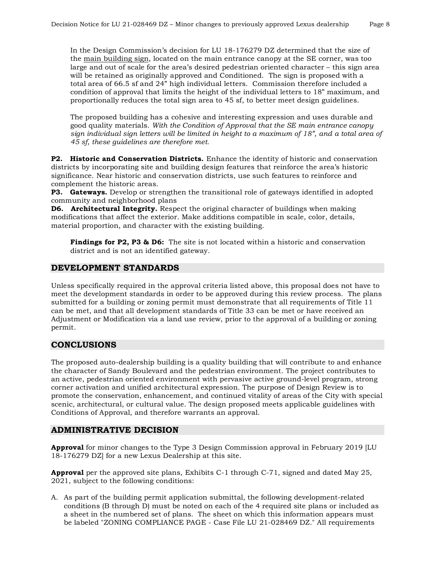In the Design Commission's decision for LU 18-176279 DZ determined that the size of the main building sign, located on the main entrance canopy at the SE corner, was too large and out of scale for the area's desired pedestrian oriented character – this sign area will be retained as originally approved and Conditioned. The sign is proposed with a total area of 66.5 sf and 24" high individual letters. Commission therefore included a condition of approval that limits the height of the individual letters to 18" maximum, and proportionally reduces the total sign area to 45 sf, to better meet design guidelines.

The proposed building has a cohesive and interesting expression and uses durable and good quality materials. *With the Condition of Approval that the SE main entrance canopy sign individual sign letters will be limited in height to a maximum of 18", and a total area of 45 sf, these guidelines are therefore met.*

**P2. Historic and Conservation Districts.** Enhance the identity of historic and conservation districts by incorporating site and building design features that reinforce the area's historic significance. Near historic and conservation districts, use such features to reinforce and complement the historic areas.

**P3. Gateways.** Develop or strengthen the transitional role of gateways identified in adopted community and neighborhood plans

**D6. Architectural Integrity.** Respect the original character of buildings when making modifications that affect the exterior. Make additions compatible in scale, color, details, material proportion, and character with the existing building.

**Findings for P2, P3 & D6:** The site is not located within a historic and conservation district and is not an identified gateway.

## **DEVELOPMENT STANDARDS**

Unless specifically required in the approval criteria listed above, this proposal does not have to meet the development standards in order to be approved during this review process. The plans submitted for a building or zoning permit must demonstrate that all requirements of Title 11 can be met, and that all development standards of Title 33 can be met or have received an Adjustment or Modification via a land use review, prior to the approval of a building or zoning permit.

## **CONCLUSIONS**

The proposed auto-dealership building is a quality building that will contribute to and enhance the character of Sandy Boulevard and the pedestrian environment. The project contributes to an active, pedestrian oriented environment with pervasive active ground-level program, strong corner activation and unified architectural expression. The purpose of Design Review is to promote the conservation, enhancement, and continued vitality of areas of the City with special scenic, architectural, or cultural value. The design proposed meets applicable guidelines with Conditions of Approval, and therefore warrants an approval.

## **ADMINISTRATIVE DECISION**

**Approval** for minor changes to the Type 3 Design Commission approval in February 2019 [LU 18-176279 DZ] for a new Lexus Dealership at this site.

**Approval** per the approved site plans, Exhibits C-1 through C-71, signed and dated May 25, 2021, subject to the following conditions:

A. As part of the building permit application submittal, the following development-related conditions (B through D) must be noted on each of the 4 required site plans or included as a sheet in the numbered set of plans. The sheet on which this information appears must be labeled "ZONING COMPLIANCE PAGE - Case File LU 21-028469 DZ." All requirements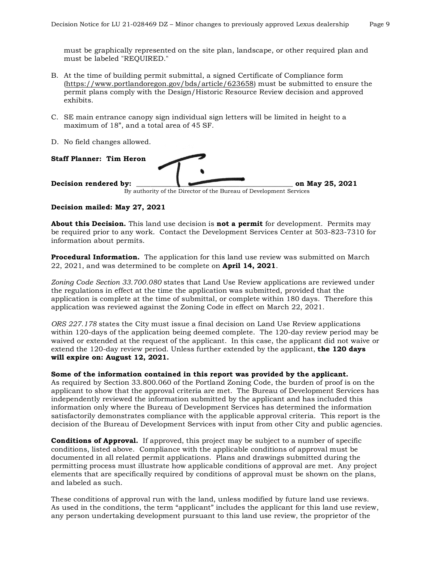must be graphically represented on the site plan, landscape, or other required plan and must be labeled "REQUIRED."

- B. At the time of building permit submittal, a signed Certificate of Compliance form [\(https://www.portlandoregon.gov/bds/article/623658\)](https://www.portlandoregon.gov/bds/article/623658) must be submitted to ensure the permit plans comply with the Design/Historic Resource Review decision and approved exhibits.
- C. SE main entrance canopy sign individual sign letters will be limited in height to a maximum of 18", and a total area of 45 SF.
- D. No field changes allowed.



#### **Decision mailed: May 27, 2021**

**About this Decision.** This land use decision is **not a permit** for development. Permits may be required prior to any work. Contact the Development Services Center at 503-823-7310 for information about permits.

**Procedural Information.** The application for this land use review was submitted on March 22, 2021, and was determined to be complete on **April 14, 2021**.

*Zoning Code Section 33.700.080* states that Land Use Review applications are reviewed under the regulations in effect at the time the application was submitted, provided that the application is complete at the time of submittal, or complete within 180 days. Therefore this application was reviewed against the Zoning Code in effect on March 22, 2021.

*ORS 227.178* states the City must issue a final decision on Land Use Review applications within 120-days of the application being deemed complete. The 120-day review period may be waived or extended at the request of the applicant. In this case, the applicant did not waive or extend the 120-day review period. Unless further extended by the applicant, **the 120 days will expire on: August 12, 2021.**

**Some of the information contained in this report was provided by the applicant.** As required by Section 33.800.060 of the Portland Zoning Code, the burden of proof is on the applicant to show that the approval criteria are met. The Bureau of Development Services has independently reviewed the information submitted by the applicant and has included this information only where the Bureau of Development Services has determined the information satisfactorily demonstrates compliance with the applicable approval criteria. This report is the decision of the Bureau of Development Services with input from other City and public agencies.

**Conditions of Approval.** If approved, this project may be subject to a number of specific conditions, listed above. Compliance with the applicable conditions of approval must be documented in all related permit applications. Plans and drawings submitted during the permitting process must illustrate how applicable conditions of approval are met. Any project elements that are specifically required by conditions of approval must be shown on the plans, and labeled as such.

These conditions of approval run with the land, unless modified by future land use reviews. As used in the conditions, the term "applicant" includes the applicant for this land use review, any person undertaking development pursuant to this land use review, the proprietor of the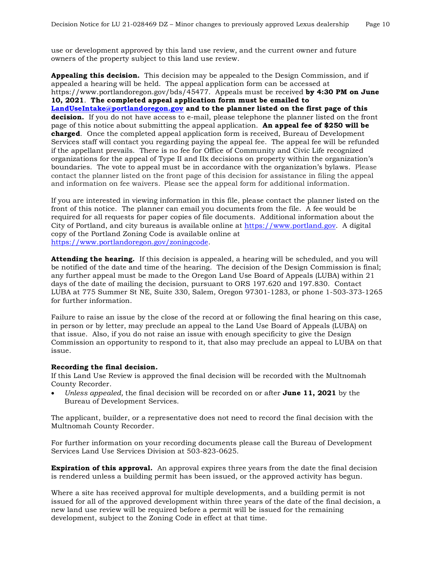use or development approved by this land use review, and the current owner and future owners of the property subject to this land use review.

**Appealing this decision.** This decision may be appealed to the Design Commission, and if appealed a hearing will be held. The appeal application form can be accessed at https://www.portlandoregon.gov/bds/45477. Appeals must be received **by 4:30 PM on June 10, 2021**. **The completed appeal application form must be emailed to [LandUseIntake@portlandoregon.gov](mailto:LandUseIntake@portlandoregon.gov) and to the planner listed on the first page of this decision.** If you do not have access to e-mail, please telephone the planner listed on the front page of this notice about submitting the appeal application. **An appeal fee of \$250 will be charged**. Once the completed appeal application form is received, Bureau of Development Services staff will contact you regarding paying the appeal fee. The appeal fee will be refunded if the appellant prevails. There is no fee for Office of Community and Civic Life recognized organizations for the appeal of Type II and IIx decisions on property within the organization's boundaries. The vote to appeal must be in accordance with the organization's bylaws. Please contact the planner listed on the front page of this decision for assistance in filing the appeal and information on fee waivers. Please see the appeal form for additional information.

If you are interested in viewing information in this file, please contact the planner listed on the front of this notice. The planner can email you documents from the file. A fee would be required for all requests for paper copies of file documents. Additional information about the City of Portland, and city bureaus is available online at [https://www.portland.gov.](https://www.portland.gov/) A digital copy of the Portland Zoning Code is available online at [https://www.portlandoregon.gov/zoningcode.](https://www.portlandoregon.gov/zoningcode)

**Attending the hearing.** If this decision is appealed, a hearing will be scheduled, and you will be notified of the date and time of the hearing. The decision of the Design Commission is final; any further appeal must be made to the Oregon Land Use Board of Appeals (LUBA) within 21 days of the date of mailing the decision, pursuant to ORS 197.620 and 197.830. Contact LUBA at 775 Summer St NE, Suite 330, Salem, Oregon 97301-1283, or phone 1-503-373-1265 for further information.

Failure to raise an issue by the close of the record at or following the final hearing on this case, in person or by letter, may preclude an appeal to the Land Use Board of Appeals (LUBA) on that issue. Also, if you do not raise an issue with enough specificity to give the Design Commission an opportunity to respond to it, that also may preclude an appeal to LUBA on that issue.

#### **Recording the final decision.**

If this Land Use Review is approved the final decision will be recorded with the Multnomah County Recorder.

• *Unless appealed,* the final decision will be recorded on or after **June 11, 2021** by the Bureau of Development Services.

The applicant, builder, or a representative does not need to record the final decision with the Multnomah County Recorder.

For further information on your recording documents please call the Bureau of Development Services Land Use Services Division at 503-823-0625.

**Expiration of this approval.** An approval expires three years from the date the final decision is rendered unless a building permit has been issued, or the approved activity has begun.

Where a site has received approval for multiple developments, and a building permit is not issued for all of the approved development within three years of the date of the final decision, a new land use review will be required before a permit will be issued for the remaining development, subject to the Zoning Code in effect at that time.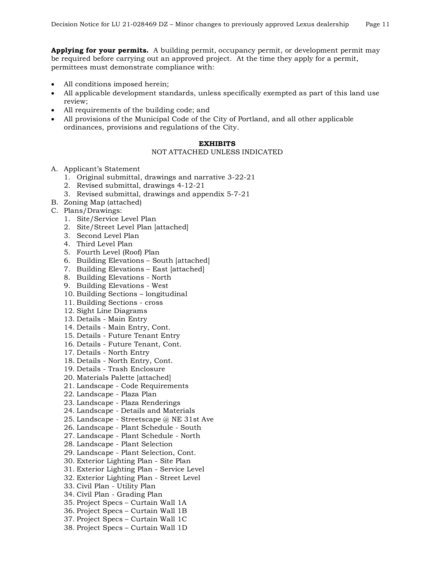**Applying for your permits.** A building permit, occupancy permit, or development permit may be required before carrying out an approved project. At the time they apply for a permit, permittees must demonstrate compliance with:

- All conditions imposed herein;
- All applicable development standards, unless specifically exempted as part of this land use review;
- All requirements of the building code; and
- All provisions of the Municipal Code of the City of Portland, and all other applicable ordinances, provisions and regulations of the City.

#### **EXHIBITS**

#### NOT ATTACHED UNLESS INDICATED

- A. Applicant's Statement
	- 1. Original submittal, drawings and narrative 3-22-21
	- 2. Revised submittal, drawings 4-12-21
	- 3. Revised submittal, drawings and appendix 5-7-21
- B. Zoning Map (attached)
- C. Plans/Drawings:
	- 1. Site/Service Level Plan
	- 2. Site/Street Level Plan [attached]
	- 3. Second Level Plan
	- 4. Third Level Plan
	- 5. Fourth Level (Roof) Plan
	- 6. Building Elevations South [attached]
	- 7. Building Elevations East [attached]
	- 8. Building Elevations North
	- 9. Building Elevations West
	- 10. Building Sections longitudinal
	- 11. Building Sections cross
	- 12. Sight Line Diagrams
	- 13. Details Main Entry
	- 14. Details Main Entry, Cont.
	- 15. Details Future Tenant Entry
	- 16. Details Future Tenant, Cont.
	- 17. Details North Entry
	- 18. Details North Entry, Cont.
	- 19. Details Trash Enclosure
	- 20. Materials Palette [attached]
	- 21. Landscape Code Requirements
	- 22. Landscape Plaza Plan
	- 23. Landscape Plaza Renderings
	- 24. Landscape Details and Materials
	- 25. Landscape Streetscape @ NE 31st Ave
	- 26. Landscape Plant Schedule South
	- 27. Landscape Plant Schedule North
	- 28. Landscape Plant Selection
	- 29. Landscape Plant Selection, Cont.
	- 30. Exterior Lighting Plan Site Plan
	- 31. Exterior Lighting Plan Service Level
	- 32. Exterior Lighting Plan Street Level
	- 33. Civil Plan Utility Plan
	- 34. Civil Plan Grading Plan
	- 35. Project Specs Curtain Wall 1A
	- 36. Project Specs Curtain Wall 1B
	- 37. Project Specs Curtain Wall 1C
	- 38. Project Specs Curtain Wall 1D